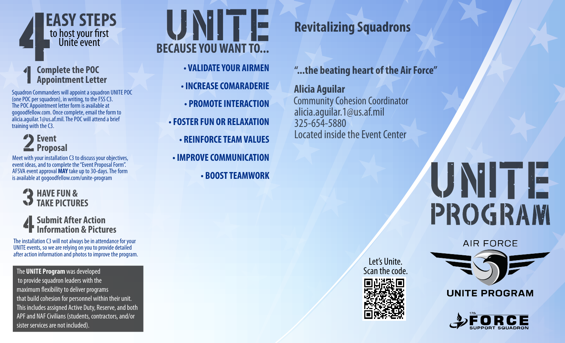

#### **Complete the POC Appointment Letter**

Squadron Commanders will appoint a squadron UNITE POC (one POC per squadron), in writing, to the FSS C3. The POC Appointment letter form is available at gogoodfellow.com. Once complete, email the form to alicia.aguilar.1@us.af.mil. The POC will attend a brief training with the C3.

#### **P** Event **Proposal**

Meet with your installation C3 to discuss your objectives, event ideas, and to complete the "Event Proposal Form". AFSVA event approval **MAY** take up to 30-days. The form is available at gogoodfellow.com/unite-program



#### **Submit After Action Information & Pictures**

The installation C3 will not always be in attendance for your UNITE events, so we are relying on you to provide detailed after action information and photos to improve the program.

The **UNITE Program** was developed to provide squadron leaders with the maximum flexibility to deliver programs that build cohesion for personnel within their unit. This includes assigned Active Duty, Reserve, and both APF and NAF Civilians (students, contractors, and/or sister services are not included).

**BECAUSE YOU WANT TO... • VALIDATE YOUR AIRMEN • INCREASE COMARADERIE • PROMOTE INTERACTION • FOSTER FUN OR RELAXATION • REINFORCE TEAM VALUES • IMPROVE COMMUNICATION • BOOST TEAMWORK**

### **Revitalizing Squadrons**

**"...the beating heart of the Air Force"**

Community Cohesion Coordinator alicia.aguilar.1@us.af.mil 325-654-5880 Located inside the Event Center **Alicia Aguilar**

# UNITE PROGRAM

**AIR FORCE** 





**UNITE PROGRAM**